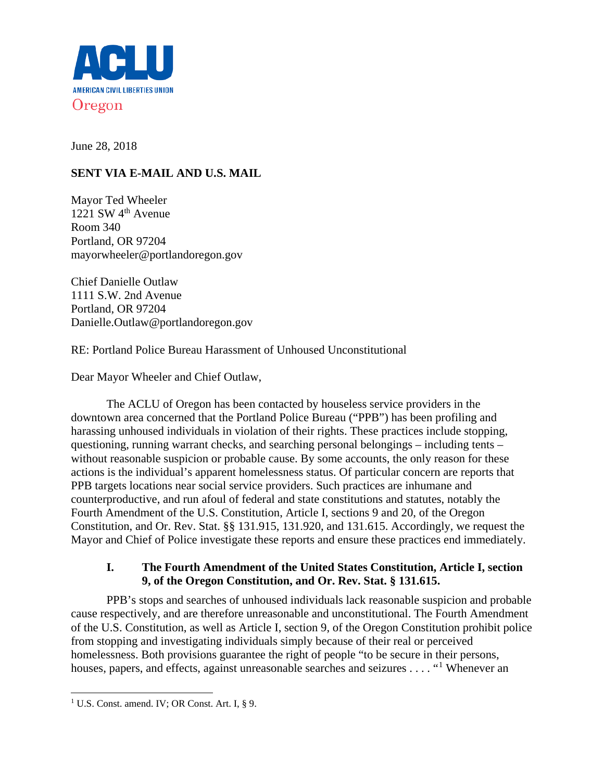

June 28, 2018

# **SENT VIA E-MAIL AND U.S. MAIL**

Mayor Ted Wheeler 1221 SW  $4<sup>th</sup>$  Avenue Room 340 Portland, OR 97204 mayorwheeler@portlandoregon.gov

Chief Danielle Outlaw 1111 S.W. 2nd Avenue Portland, OR 97204 Danielle.Outlaw@portlandoregon.gov

RE: Portland Police Bureau Harassment of Unhoused Unconstitutional

Dear Mayor Wheeler and Chief Outlaw,

The ACLU of Oregon has been contacted by houseless service providers in the downtown area concerned that the Portland Police Bureau ("PPB") has been profiling and harassing unhoused individuals in violation of their rights. These practices include stopping, questioning, running warrant checks, and searching personal belongings – including tents – without reasonable suspicion or probable cause. By some accounts, the only reason for these actions is the individual's apparent homelessness status. Of particular concern are reports that PPB targets locations near social service providers. Such practices are inhumane and counterproductive, and run afoul of federal and state constitutions and statutes, notably the Fourth Amendment of the U.S. Constitution, Article I, sections 9 and 20, of the Oregon Constitution, and Or. Rev. Stat. §§ 131.915, 131.920, and 131.615. Accordingly, we request the Mayor and Chief of Police investigate these reports and ensure these practices end immediately.

# **I. The Fourth Amendment of the United States Constitution, Article I, section 9, of the Oregon Constitution, and Or. Rev. Stat. § 131.615.**

PPB's stops and searches of unhoused individuals lack reasonable suspicion and probable cause respectively, and are therefore unreasonable and unconstitutional. The Fourth Amendment of the U.S. Constitution, as well as Article I, section 9, of the Oregon Constitution prohibit police from stopping and investigating individuals simply because of their real or perceived homelessness. Both provisions guarantee the right of people "to be secure in their persons, houses, papers, and effects, against unreasonable searches and seizures . . . . "<sup>[1](#page-0-0)</sup> Whenever an

<span id="page-0-0"></span><sup>&</sup>lt;sup>1</sup> U.S. Const. amend. IV; OR Const. Art. I, § 9.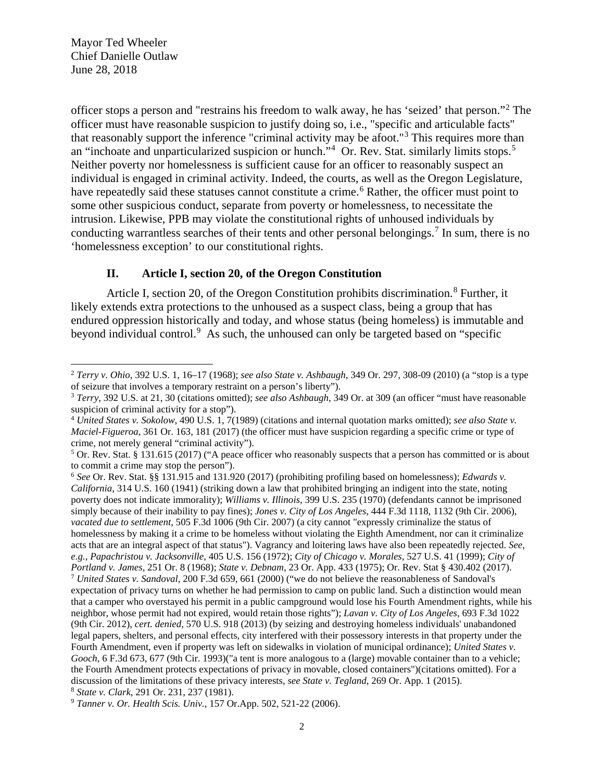Mayor Ted Wheeler Chief Danielle Outlaw June 28, 2018

officer stops a person and "restrains his freedom to walk away, he has 'seized' that person."[2](#page-1-0) The officer must have reasonable suspicion to justify doing so, i.e., "specific and articulable facts" that reasonably support the inference "criminal activity may be afoot."[3](#page-1-1) This requires more than an "inchoate and unparticularized suspicion or hunch."<sup>[4](#page-1-2)</sup> Or. Rev. Stat. similarly limits stops.<sup>[5](#page-1-3)</sup> Neither poverty nor homelessness is sufficient cause for an officer to reasonably suspect an individual is engaged in criminal activity. Indeed, the courts, as well as the Oregon Legislature, have repeatedly said these statuses cannot constitute a crime.<sup>[6](#page-1-4)</sup> Rather, the officer must point to some other suspicious conduct, separate from poverty or homelessness, to necessitate the intrusion. Likewise, PPB may violate the constitutional rights of unhoused individuals by conducting warrantless searches of their tents and other personal belongings.<sup>[7](#page-1-5)</sup> In sum, there is no 'homelessness exception' to our constitutional rights.

# **II. Article I, section 20, of the Oregon Constitution**

Article I, section 20, of the Oregon Constitution prohibits discrimination.<sup>[8](#page-1-6)</sup> Further, it likely extends extra protections to the unhoused as a suspect class, being a group that has endured oppression historically and today, and whose status (being homeless) is immutable and beyond individual control.<sup>[9](#page-1-7)</sup> As such, the unhoused can only be targeted based on "specific

<span id="page-1-0"></span><sup>2</sup> *Terry v. Ohio*, 392 U.S. 1, 16–17 (1968); *see also State v. Ashbaugh*, 349 Or. 297, 308-09 (2010) (a "stop is a type of seizure that involves a temporary restraint on a person's liberty").

<span id="page-1-1"></span><sup>3</sup> *Terry*, 392 U.S. at 21, 30 (citations omitted); *see also Ashbaugh*, 349 Or. at 309 (an officer "must have reasonable suspicion of criminal activity for a stop").

<span id="page-1-2"></span><sup>4</sup> *United States v. Sokolow*, 490 U.S. 1, 7(1989) (citations and internal quotation marks omitted); *see also State v. Maciel-Figueroa*, 361 Or. 163, 181 (2017) (the officer must have suspicion regarding a specific crime or type of crime, not merely general "criminal activity").

<span id="page-1-3"></span><sup>5</sup> Or. Rev. Stat. § 131.615 (2017) ("A peace officer who reasonably suspects that a person has committed or is about to commit a crime may stop the person"). 6 *See* Or. Rev. Stat. §§ 131.915 and 131.920 (2017) (prohibiting profiling based on homelessness); *Edwards v.* 

<span id="page-1-5"></span><span id="page-1-4"></span>*California*, 314 U.S. 160 (1941) (striking down a law that prohibited bringing an indigent into the state, noting poverty does not indicate immorality); *Williams v. Illinois,* 399 U.S. 235 (1970) (defendants cannot be imprisoned simply because of their inability to pay fines); *Jones v. City of Los Angeles*, 444 F.3d 1118, 1132 (9th Cir. 2006), *vacated due to settlement*, 505 F.3d 1006 (9th Cir. 2007) (a city cannot "expressly criminalize the status of homelessness by making it a crime to be homeless without violating the Eighth Amendment, nor can it criminalize acts that are an integral aspect of that status"). Vagrancy and loitering laws have also been repeatedly rejected. *See, e.g.*, *Papachristou v. Jacksonville*, 405 U.S. 156 (1972); *City of Chicago v. Morales*, 527 U.S. 41 (1999); *City of* Portland v. James, 251 Or. 8 (1968); State v. Debnam, 23 Or. App. 433 (1975); Or. Rev. Stat § 430.402 (2017).<br><sup>7</sup> United States v. Sandoval, 200 F.3d 659, 661 (2000) ("we do not believe the reasonableness of Sandoval's expectation of privacy turns on whether he had permission to camp on public land. Such a distinction would mean that a camper who overstayed his permit in a public campground would lose his Fourth Amendment rights, while his neighbor, whose permit had not expired, would retain those rights"); *Lavan v. City of Los Angeles*, 693 F.3d 1022 (9th Cir. 2012), *cert. denied*, 570 U.S. 918 (2013) (by seizing and destroying homeless individuals' unabandoned legal papers, shelters, and personal effects, city interfered with their possessory interests in that property under the Fourth Amendment, even if property was left on sidewalks in violation of municipal ordinance); *United States v. Gooch*, 6 F.3d 673, 677 (9th Cir. 1993)("a tent is more analogous to a (large) movable container than to a vehicle; the Fourth Amendment protects expectations of privacy in movable, closed containers")(citations omitted). For a discussion of the limitations of these privacy interests, *see State v. Tegland*, 269 Or. App. 1 (2015). 8 *State v. Clark*, 291 Or. 231, 237 (1981).

<span id="page-1-6"></span>

<span id="page-1-7"></span><sup>9</sup> *Tanner v. Or. Health Scis. Univ.*, 157 Or.App. 502, 521-22 (2006).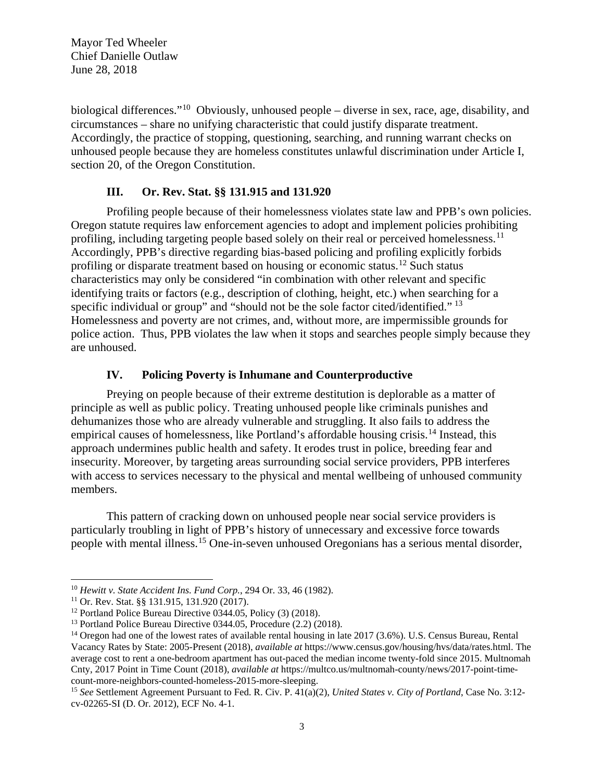Mayor Ted Wheeler Chief Danielle Outlaw June 28, 2018

biological differences."[10](#page-2-0) Obviously, unhoused people – diverse in sex, race, age, disability, and circumstances – share no unifying characteristic that could justify disparate treatment. Accordingly, the practice of stopping, questioning, searching, and running warrant checks on unhoused people because they are homeless constitutes unlawful discrimination under Article I, section 20, of the Oregon Constitution.

# **III. Or. Rev. Stat. §§ 131.915 and 131.920**

Profiling people because of their homelessness violates state law and PPB's own policies. Oregon statute requires law enforcement agencies to adopt and implement policies prohibiting profiling, including targeting people based solely on their real or perceived homelessness.<sup>[11](#page-2-1)</sup> Accordingly, PPB's directive regarding bias-based policing and profiling explicitly forbids profiling or disparate treatment based on housing or economic status.<sup>[12](#page-2-2)</sup> Such status characteristics may only be considered "in combination with other relevant and specific identifying traits or factors (e.g., description of clothing, height, etc.) when searching for a specific individual or group" and "should not be the sole factor cited/identified."<sup>[13](#page-2-3)</sup> Homelessness and poverty are not crimes, and, without more, are impermissible grounds for police action. Thus, PPB violates the law when it stops and searches people simply because they are unhoused.

# **IV. Policing Poverty is Inhumane and Counterproductive**

Preying on people because of their extreme destitution is deplorable as a matter of principle as well as public policy. Treating unhoused people like criminals punishes and dehumanizes those who are already vulnerable and struggling. It also fails to address the empirical causes of homelessness, like Portland's affordable housing crisis.<sup>[14](#page-2-4)</sup> Instead, this approach undermines public health and safety. It erodes trust in police, breeding fear and insecurity. Moreover, by targeting areas surrounding social service providers, PPB interferes with access to services necessary to the physical and mental wellbeing of unhoused community members.

This pattern of cracking down on unhoused people near social service providers is particularly troubling in light of PPB's history of unnecessary and excessive force towards people with mental illness.[15](#page-2-5) One-in-seven unhoused Oregonians has a serious mental disorder,

<span id="page-2-1"></span><span id="page-2-0"></span><sup>&</sup>lt;sup>10</sup> *Hewitt v. State Accident Ins. Fund Corp.*, 294 Or. 33, 46 (1982).<br><sup>11</sup> Or. Rev. Stat. §§ 131.915, 131.920 (2017).<br><sup>12</sup> Portland Police Bureau Directive 0344.05, Policy (3) (2018).<br><sup>13</sup> Portland Police Bureau Directiv

<span id="page-2-2"></span>

<span id="page-2-4"></span><span id="page-2-3"></span><sup>&</sup>lt;sup>14</sup> Oregon had one of the lowest rates of available rental housing in late 2017 (3.6%). U.S. Census Bureau, Rental Vacancy Rates by State: 2005-Present (2018), *available at* https://www.census.gov/housing/hvs/data/rates.html. The average cost to rent a one-bedroom apartment has out-paced the median income twenty-fold since 2015. Multnomah Cnty, 2017 Point in Time Count (2018), *available at* https://multco.us/multnomah-county/news/2017-point-timecount-more-neighbors-counted-homeless-2015-more-sleeping. 15 *See* Settlement Agreement Pursuant to Fed. R. Civ. P. 41(a)(2), *United States v. City of Portland*, Case No. 3:12-

<span id="page-2-5"></span>cv-02265-SI (D. Or. 2012), ECF No. 4-1.